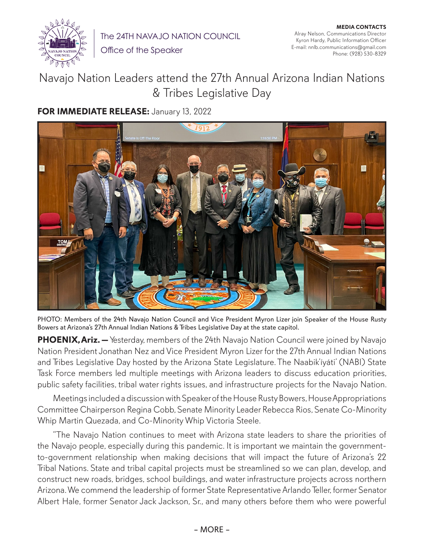

The 24TH NAVAJO NATION COUNCIL

Office of the Speaker

## Navajo Nation Leaders attend the 27th Annual Arizona Indian Nations & Tribes Legislative Day

## **FOR IMMEDIATE RELEASE:** January 13, 2022



PHOTO: Members of the 24th Navajo Nation Council and Vice President Myron Lizer join Speaker of the House Rusty Bowers at Arizona's 27th Annual Indian Nations & Tribes Legislative Day at the state capitol.

**PHOENIX, Ariz.** — Yesterday, members of the 24th Navajo Nation Council were joined by Navajo Nation President Jonathan Nez and Vice President Myron Lizer for the 27th Annual Indian Nations and Tribes Legislative Day hosted by the Arizona State Legislature. The Naabik'íyáti' (NABI) State Task Force members led multiple meetings with Arizona leaders to discuss education priorities, public safety facilities, tribal water rights issues, and infrastructure projects for the Navajo Nation.

Meetings included a discussion with Speaker of the House Rusty Bowers, House Appropriations Committee Chairperson Regina Cobb, Senate Minority Leader Rebecca Rios, Senate Co-Minority Whip Martin Quezada, and Co-Minority Whip Victoria Steele.

"The Navajo Nation continues to meet with Arizona state leaders to share the priorities of the Navajo people, especially during this pandemic. It is important we maintain the governmentto-government relationship when making decisions that will impact the future of Arizona's 22 Tribal Nations. State and tribal capital projects must be streamlined so we can plan, develop, and construct new roads, bridges, school buildings, and water infrastructure projects across northern Arizona. We commend the leadership of former State Representative Arlando Teller, former Senator Albert Hale, former Senator Jack Jackson, Sr., and many others before them who were powerful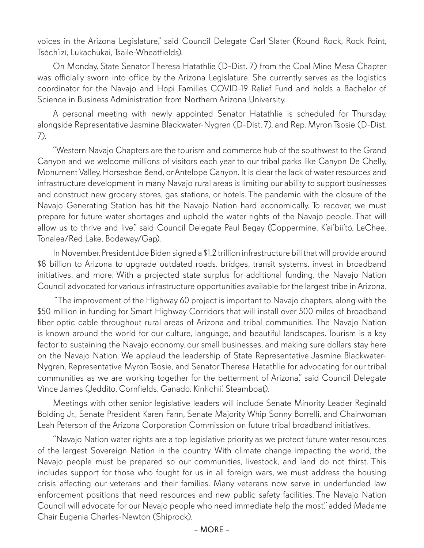voices in the Arizona Legislature," said Council Delegate Carl Slater (Round Rock, Rock Point, Tséch'izí, Lukachukai, Tsaile-Wheatfields).

On Monday, State Senator Theresa Hatathlie (D-Dist. 7) from the Coal Mine Mesa Chapter was officially sworn into office by the Arizona Legislature. She currently serves as the logistics coordinator for the Navajo and Hopi Families COVID-19 Relief Fund and holds a Bachelor of Science in Business Administration from Northern Arizona University.

A personal meeting with newly appointed Senator Hatathlie is scheduled for Thursday, alongside Representative Jasmine Blackwater-Nygren (D-Dist. 7), and Rep. Myron Tsosie (D-Dist. 7).

"Western Navajo Chapters are the tourism and commerce hub of the southwest to the Grand Canyon and we welcome millions of visitors each year to our tribal parks like Canyon De Chelly, Monument Valley, Horseshoe Bend, or Antelope Canyon. It is clear the lack of water resources and infrastructure development in many Navajo rural areas is limiting our ability to support businesses and construct new grocery stores, gas stations, or hotels. The pandemic with the closure of the Navajo Generating Station has hit the Navajo Nation hard economically. To recover, we must prepare for future water shortages and uphold the water rights of the Navajo people. That will allow us to thrive and live," said Council Delegate Paul Begay (Coppermine, K'ai'bii'tó, LeChee, Tonalea/Red Lake, Bodaway/Gap).

In November, President Joe Biden signed a \$1.2 trillion infrastructure bill that will provide around \$8 billion to Arizona to upgrade outdated roads, bridges, transit systems, invest in broadband initiatives, and more. With a projected state surplus for additional funding, the Navajo Nation Council advocated for various infrastructure opportunities available for the largest tribe in Arizona.

 "The improvement of the Highway 60 project is important to Navajo chapters, along with the \$50 million in funding for Smart Highway Corridors that will install over 500 miles of broadband fiber optic cable throughout rural areas of Arizona and tribal communities. The Navajo Nation is known around the world for our culture, language, and beautiful landscapes. Tourism is a key factor to sustaining the Navajo economy, our small businesses, and making sure dollars stay here on the Navajo Nation. We applaud the leadership of State Representative Jasmine Blackwater-Nygren, Representative Myron Tsosie, and Senator Theresa Hatathlie for advocating for our tribal communities as we are working together for the betterment of Arizona," said Council Delegate Vince James (Jeddito, Cornfields, Ganado, Kinłichii', Steamboat).

Meetings with other senior legislative leaders will include Senate Minority Leader Reginald Bolding Jr., Senate President Karen Fann, Senate Majority Whip Sonny Borrelli, and Chairwoman Leah Peterson of the Arizona Corporation Commission on future tribal broadband initiatives.

"Navajo Nation water rights are a top legislative priority as we protect future water resources of the largest Sovereign Nation in the country. With climate change impacting the world, the Navajo people must be prepared so our communities, livestock, and land do not thirst. This includes support for those who fought for us in all foreign wars, we must address the housing crisis affecting our veterans and their families. Many veterans now serve in underfunded law enforcement positions that need resources and new public safety facilities. The Navajo Nation Council will advocate for our Navajo people who need immediate help the most," added Madame Chair Eugenia Charles-Newton (Shiprock).